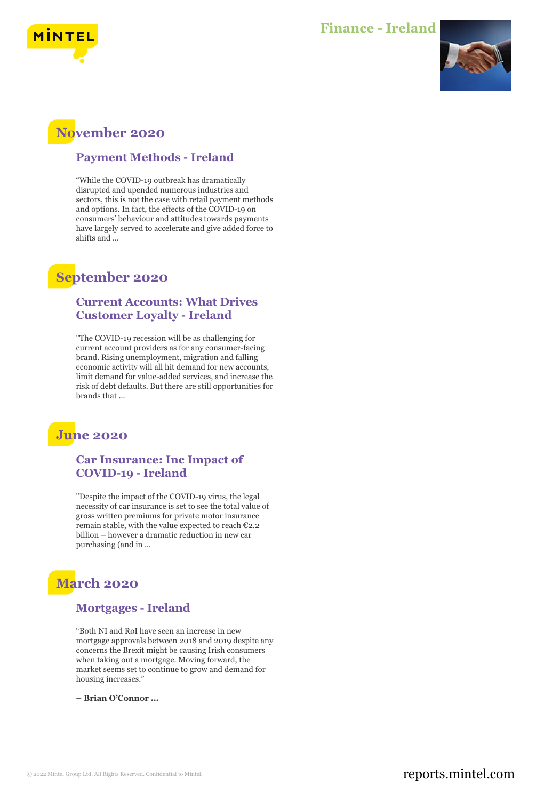

#### **Finance - Ireland**



## **November 2020**

#### **Payment Methods - Ireland**

"While the COVID-19 outbreak has dramatically disrupted and upended numerous industries and sectors, this is not the case with retail payment methods and options. In fact, the effects of the COVID-19 on consumers' behaviour and attitudes towards payments have largely served to accelerate and give added force to shifts and ...

## **September 2020**

#### **Current Accounts: What Drives Customer Loyalty - Ireland**

"The COVID-19 recession will be as challenging for current account providers as for any consumer-facing brand. Rising unemployment, migration and falling economic activity will all hit demand for new accounts, limit demand for value-added services, and increase the risk of debt defaults. But there are still opportunities for brands that ...

## **June 2020**

#### **Car Insurance: Inc Impact of COVID-19 - Ireland**

"Despite the impact of the COVID-19 virus, the legal necessity of car insurance is set to see the total value of gross written premiums for private motor insurance remain stable, with the value expected to reach €2.2 billion – however a dramatic reduction in new car purchasing (and in ...

# **March 2020**

#### **Mortgages - Ireland**

"Both NI and RoI have seen an increase in new mortgage approvals between 2018 and 2019 despite any concerns the Brexit might be causing Irish consumers when taking out a mortgage. Moving forward, the market seems set to continue to grow and demand for housing increases."

**– Brian O'Connor ...**